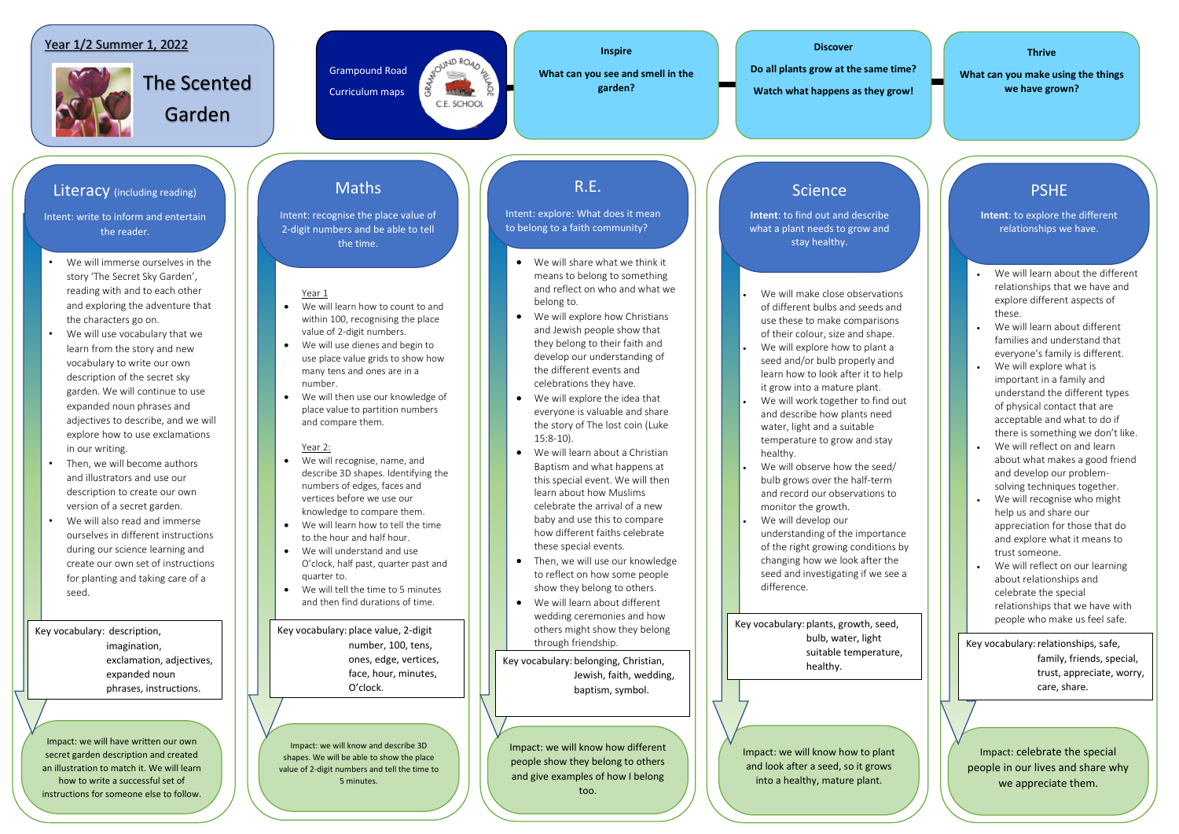- We will immerse ourselves in the story 'The Secret Sky Garden', reading with and to each other and exploring the adventure that the characters go on.
- We will use vocabulary that we learn from the story and new vocabulary to write our own description of the secret sky garden. We will continue to use expanded noun phrases and adjectives to describe, and we will explore how to use exclamations in our writing.
- Then, we will become authors and illustrators and use our description to create our own version of a secret garden.
- We will also read and immerse ourselves in different instructions during our science learning and create our own set of instructions for planting and taking care of a seed.

Grampound Road Curriculum maps



**Discover** 

**Do all plants grow at the same time?** 

**Watch what happens as they grow!**

### **Thrive**

**What can you make using the things we have grown?**

**Inspire** 

**What can you see and smell in the garden?**

#### Year 1

- We will learn how to count to and within 100, recognising the place value of 2-digit numbers.
- We will use dienes and begin to use place value grids to show how many tens and ones are in a number.
- We will then use our knowledge of place value to partition numbers and compare them.

#### Year 2:

- We will recognise, name, and describe 3D shapes. Identifying the numbers of edges, faces and vertices before we use our knowledge to compare them.
- We will learn how to tell the time to the hour and half hour.
- We will understand and use O'clock, half past, quarter past and quarter to.
- We will tell the time to 5 minutes and then find durations of time.
- We will make close observations of different bulbs and seeds and use these to make comparisons of their colour, size and shape.
- We will explore how to plant a seed and/or bulb properly and learn how to look after it to help it grow into a mature plant.
- We will work together to find out and describe how plants need water, light and a suitable temperature to grow and stay healthy.
- We will observe how the seed/ bulb grows over the half-term and record our observations to monitor the growth.
- We will develop our understanding of the importance of the right growing conditions by changing how we look after the seed and investigating if we see a difference.
- We will learn about the different relationships that we have and explore different aspects of these.
- We will learn about different families and understand that everyone's family is different.
- We will explore what is important in a family and understand the different types of physical contact that are acceptable and what to do if there is something we don't like.
- We will reflect on and learn about what makes a good friend and develop our problemsolving techniques together.
- We will recognise who might help us and share our appreciation for those that do and explore what it means to trust someone.
- We will reflect on our learning about relationships and celebrate the special relationships that we have with people who make us feel safe.
- We will share what we think it means to belong to something and reflect on who and what we belong to.
- We will explore how Christians and Jewish people show that they belong to their faith and develop our understanding of the different events and celebrations they have.
- We will explore the idea that everyone is valuable and share the story of The lost coin (Luke 15:8-10).
- We will learn about a Christian Baptism and what happens at this special event. We will then learn about how Muslims celebrate the arrival of a new baby and use this to compare how different faiths celebrate these special events.
- Then, we will use our knowledge to reflect on how some people show they belong to others.
- We will learn about different wedding ceremonies and how others might show they belong through friendship.

Intent: write to inform and entertain the reader.

> Key vocabulary: relationships, safe, family, friends, special, trust, appreciate, worry, care, share.

Impact: we will have written our own secret garden description and created an illustration to match it. We will learn how to write a successful set of instructions for someone else to follow.

Impact: we will know and describe 3D shapes. We will be able to show the place value of 2-digit numbers and tell the time to 5 minutes.

Impact: we will know how different people show they belong to others and give examples of how I belong too.

Impact: we will know how to plant and look after a seed, so it grows into a healthy, mature plant.

Impact: celebrate the special people in our lives and share why we appreciate them.

## Literacy (including reading)

## Maths

Intent: recognise the place value of 2-digit numbers and be able to tell the time.

## R.E.

Intent: explore: What does it mean to belong to a faith community?

## Science

**Intent**: to find out and describe what a plant needs to grow and stay healthy.

# PSHE

**Intent**: to explore the different relationships we have.

Key vocabulary: description, imagination, exclamation, adjectives, expanded noun phrases, instructions.

Key vocabulary: place value, 2-digit number, 100, tens, ones, edge, vertices, face, hour, minutes, O'clock.

Key vocabulary: belonging, Christian, Jewish, faith, wedding, baptism, symbol.

Key vocabulary: plants, growth, seed, bulb, water, light suitable temperature, healthy.

## Year 1/2 Summer 1, 2022



The Scented Garden